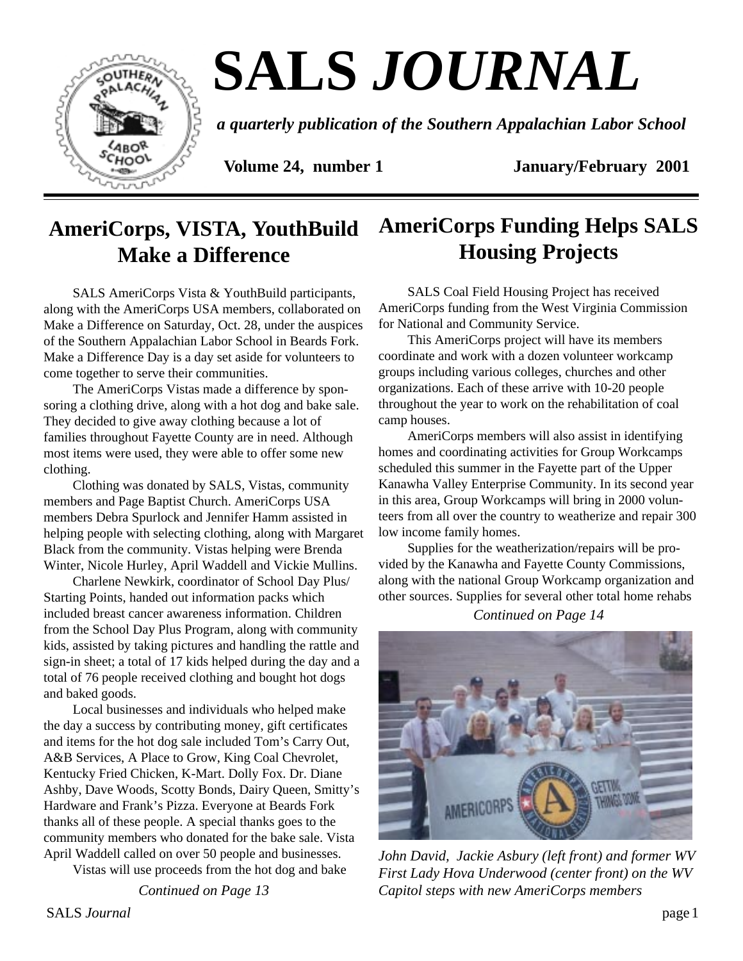

# **SALS** *JOURNAL*

*a quarterly publication of the Southern Appalachian Labor School*

**Volume 24, number 1 January/February 2001** 

# **AmeriCorps, VISTA, YouthBuild Make a Difference**

SALS AmeriCorps Vista & YouthBuild participants, along with the AmeriCorps USA members, collaborated on Make a Difference on Saturday, Oct. 28, under the auspices of the Southern Appalachian Labor School in Beards Fork. Make a Difference Day is a day set aside for volunteers to come together to serve their communities.

The AmeriCorps Vistas made a difference by sponsoring a clothing drive, along with a hot dog and bake sale. They decided to give away clothing because a lot of families throughout Fayette County are in need. Although most items were used, they were able to offer some new clothing.

Clothing was donated by SALS, Vistas, community members and Page Baptist Church. AmeriCorps USA members Debra Spurlock and Jennifer Hamm assisted in helping people with selecting clothing, along with Margaret Black from the community. Vistas helping were Brenda Winter, Nicole Hurley, April Waddell and Vickie Mullins.

Charlene Newkirk, coordinator of School Day Plus/ Starting Points, handed out information packs which included breast cancer awareness information. Children from the School Day Plus Program, along with community kids, assisted by taking pictures and handling the rattle and sign-in sheet; a total of 17 kids helped during the day and a total of 76 people received clothing and bought hot dogs and baked goods.

Local businesses and individuals who helped make the day a success by contributing money, gift certificates and items for the hot dog sale included Tom's Carry Out, A&B Services, A Place to Grow, King Coal Chevrolet, Kentucky Fried Chicken, K-Mart. Dolly Fox. Dr. Diane Ashby, Dave Woods, Scotty Bonds, Dairy Queen, Smitty's Hardware and Frank's Pizza. Everyone at Beards Fork thanks all of these people. A special thanks goes to the community members who donated for the bake sale. Vista April Waddell called on over 50 people and businesses.

Vistas will use proceeds from the hot dog and bake

*Continued on Page 13*

# **AmeriCorps Funding Helps SALS Housing Projects**

SALS Coal Field Housing Project has received AmeriCorps funding from the West Virginia Commission for National and Community Service.

This AmeriCorps project will have its members coordinate and work with a dozen volunteer workcamp groups including various colleges, churches and other organizations. Each of these arrive with 10-20 people throughout the year to work on the rehabilitation of coal camp houses.

AmeriCorps members will also assist in identifying homes and coordinating activities for Group Workcamps scheduled this summer in the Fayette part of the Upper Kanawha Valley Enterprise Community. In its second year in this area, Group Workcamps will bring in 2000 volunteers from all over the country to weatherize and repair 300 low income family homes.

Supplies for the weatherization/repairs will be provided by the Kanawha and Fayette County Commissions, along with the national Group Workcamp organization and other sources. Supplies for several other total home rehabs

*Continued on Page 14*



*John David, Jackie Asbury (left front) and former WV First Lady Hova Underwood (center front) on the WV Capitol steps with new AmeriCorps members*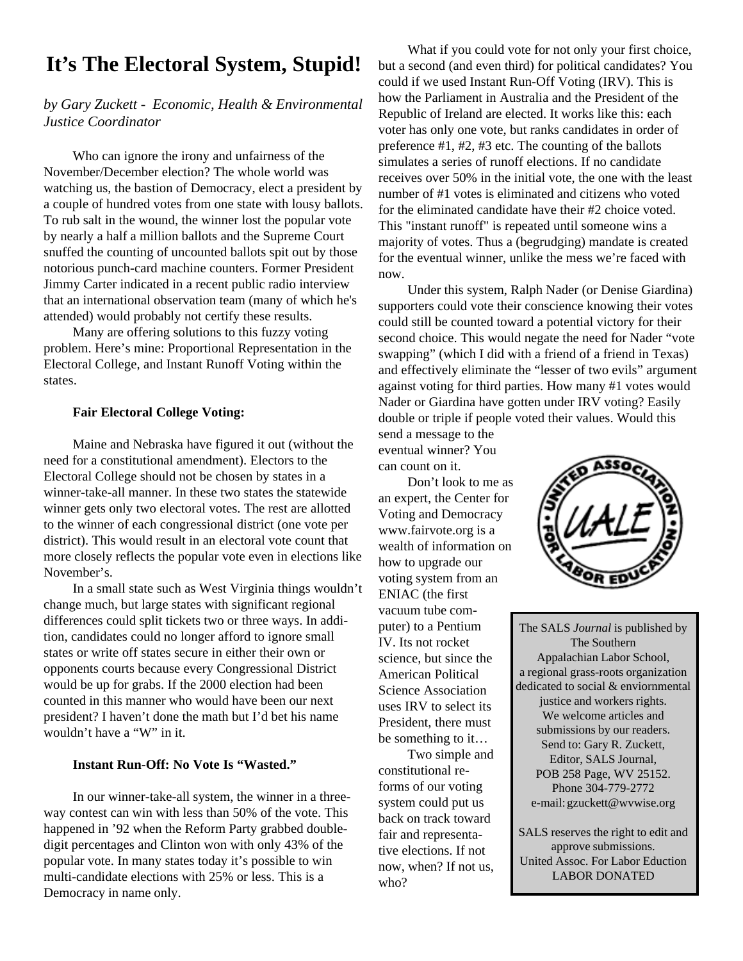# **It's The Electoral System, Stupid!**

#### *by Gary Zuckett - Economic, Health & Environmental Justice Coordinator*

Who can ignore the irony and unfairness of the November/December election? The whole world was watching us, the bastion of Democracy, elect a president by a couple of hundred votes from one state with lousy ballots. To rub salt in the wound, the winner lost the popular vote by nearly a half a million ballots and the Supreme Court snuffed the counting of uncounted ballots spit out by those notorious punch-card machine counters. Former President Jimmy Carter indicated in a recent public radio interview that an international observation team (many of which he's attended) would probably not certify these results.

Many are offering solutions to this fuzzy voting problem. Here's mine: Proportional Representation in the Electoral College, and Instant Runoff Voting within the states.

#### **Fair Electoral College Voting:**

Maine and Nebraska have figured it out (without the need for a constitutional amendment). Electors to the Electoral College should not be chosen by states in a winner-take-all manner. In these two states the statewide winner gets only two electoral votes. The rest are allotted to the winner of each congressional district (one vote per district). This would result in an electoral vote count that more closely reflects the popular vote even in elections like November's.

In a small state such as West Virginia things wouldn't change much, but large states with significant regional differences could split tickets two or three ways. In addition, candidates could no longer afford to ignore small states or write off states secure in either their own or opponents courts because every Congressional District would be up for grabs. If the 2000 election had been counted in this manner who would have been our next president? I haven't done the math but I'd bet his name wouldn't have a "W" in it.

#### **Instant Run-Off: No Vote Is "Wasted."**

In our winner-take-all system, the winner in a threeway contest can win with less than 50% of the vote. This happened in '92 when the Reform Party grabbed doubledigit percentages and Clinton won with only 43% of the popular vote. In many states today it's possible to win multi-candidate elections with 25% or less. This is a Democracy in name only.

What if you could vote for not only your first choice, but a second (and even third) for political candidates? You could if we used Instant Run-Off Voting (IRV). This is how the Parliament in Australia and the President of the Republic of Ireland are elected. It works like this: each voter has only one vote, but ranks candidates in order of preference #1, #2, #3 etc. The counting of the ballots simulates a series of runoff elections. If no candidate receives over 50% in the initial vote, the one with the least number of #1 votes is eliminated and citizens who voted for the eliminated candidate have their #2 choice voted. This "instant runoff" is repeated until someone wins a majority of votes. Thus a (begrudging) mandate is created for the eventual winner, unlike the mess we're faced with now.

Under this system, Ralph Nader (or Denise Giardina) supporters could vote their conscience knowing their votes could still be counted toward a potential victory for their second choice. This would negate the need for Nader "vote swapping" (which I did with a friend of a friend in Texas) and effectively eliminate the "lesser of two evils" argument against voting for third parties. How many #1 votes would Nader or Giardina have gotten under IRV voting? Easily double or triple if people voted their values. Would this

send a message to the eventual winner? You can count on it.

Don't look to me as an expert, the Center for Voting and Democracy www.fairvote.org is a wealth of information on how to upgrade our voting system from an ENIAC (the first vacuum tube computer) to a Pentium IV. Its not rocket science, but since the American Political Science Association uses IRV to select its President, there must be something to it…

Two simple and constitutional reforms of our voting system could put us back on track toward fair and representative elections. If not now, when? If not us, who?



The SALS *Journal* is published by The Southern Appalachian Labor School, a regional grass-roots organization dedicated to social & enviornmental justice and workers rights. We welcome articles and submissions by our readers. Send to: Gary R. Zuckett, Editor, SALS Journal, POB 258 Page, WV 25152. Phone 304-779-2772 e-mail: gzuckett@wvwise.org

SALS reserves the right to edit and approve submissions. United Assoc. For Labor Eduction LABOR DONATED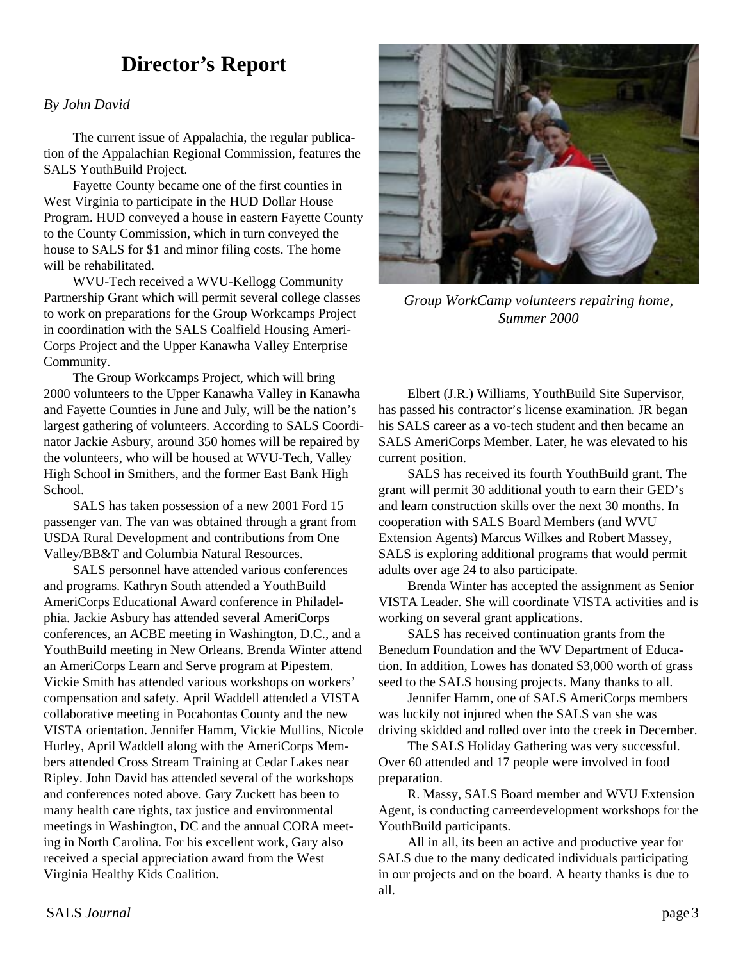## **Director's Report**

#### *By John David*

The current issue of Appalachia, the regular publication of the Appalachian Regional Commission, features the SALS YouthBuild Project.

Fayette County became one of the first counties in West Virginia to participate in the HUD Dollar House Program. HUD conveyed a house in eastern Fayette County to the County Commission, which in turn conveyed the house to SALS for \$1 and minor filing costs. The home will be rehabilitated.

WVU-Tech received a WVU-Kellogg Community Partnership Grant which will permit several college classes to work on preparations for the Group Workcamps Project in coordination with the SALS Coalfield Housing Ameri-Corps Project and the Upper Kanawha Valley Enterprise Community.

The Group Workcamps Project, which will bring 2000 volunteers to the Upper Kanawha Valley in Kanawha and Fayette Counties in June and July, will be the nation's largest gathering of volunteers. According to SALS Coordinator Jackie Asbury, around 350 homes will be repaired by the volunteers, who will be housed at WVU-Tech, Valley High School in Smithers, and the former East Bank High School.

SALS has taken possession of a new 2001 Ford 15 passenger van. The van was obtained through a grant from USDA Rural Development and contributions from One Valley/BB&T and Columbia Natural Resources.

SALS personnel have attended various conferences and programs. Kathryn South attended a YouthBuild AmeriCorps Educational Award conference in Philadelphia. Jackie Asbury has attended several AmeriCorps conferences, an ACBE meeting in Washington, D.C., and a YouthBuild meeting in New Orleans. Brenda Winter attend an AmeriCorps Learn and Serve program at Pipestem. Vickie Smith has attended various workshops on workers' compensation and safety. April Waddell attended a VISTA collaborative meeting in Pocahontas County and the new VISTA orientation. Jennifer Hamm, Vickie Mullins, Nicole Hurley, April Waddell along with the AmeriCorps Members attended Cross Stream Training at Cedar Lakes near Ripley. John David has attended several of the workshops and conferences noted above. Gary Zuckett has been to many health care rights, tax justice and environmental meetings in Washington, DC and the annual CORA meeting in North Carolina. For his excellent work, Gary also received a special appreciation award from the West Virginia Healthy Kids Coalition.



*Group WorkCamp volunteers repairing home, Summer 2000*

Elbert (J.R.) Williams, YouthBuild Site Supervisor, has passed his contractor's license examination. JR began his SALS career as a vo-tech student and then became an SALS AmeriCorps Member. Later, he was elevated to his current position.

SALS has received its fourth YouthBuild grant. The grant will permit 30 additional youth to earn their GED's and learn construction skills over the next 30 months. In cooperation with SALS Board Members (and WVU Extension Agents) Marcus Wilkes and Robert Massey, SALS is exploring additional programs that would permit adults over age 24 to also participate.

Brenda Winter has accepted the assignment as Senior VISTA Leader. She will coordinate VISTA activities and is working on several grant applications.

SALS has received continuation grants from the Benedum Foundation and the WV Department of Education. In addition, Lowes has donated \$3,000 worth of grass seed to the SALS housing projects. Many thanks to all.

Jennifer Hamm, one of SALS AmeriCorps members was luckily not injured when the SALS van she was driving skidded and rolled over into the creek in December.

The SALS Holiday Gathering was very successful. Over 60 attended and 17 people were involved in food preparation.

R. Massy, SALS Board member and WVU Extension Agent, is conducting carreerdevelopment workshops for the YouthBuild participants.

All in all, its been an active and productive year for SALS due to the many dedicated individuals participating in our projects and on the board. A hearty thanks is due to all.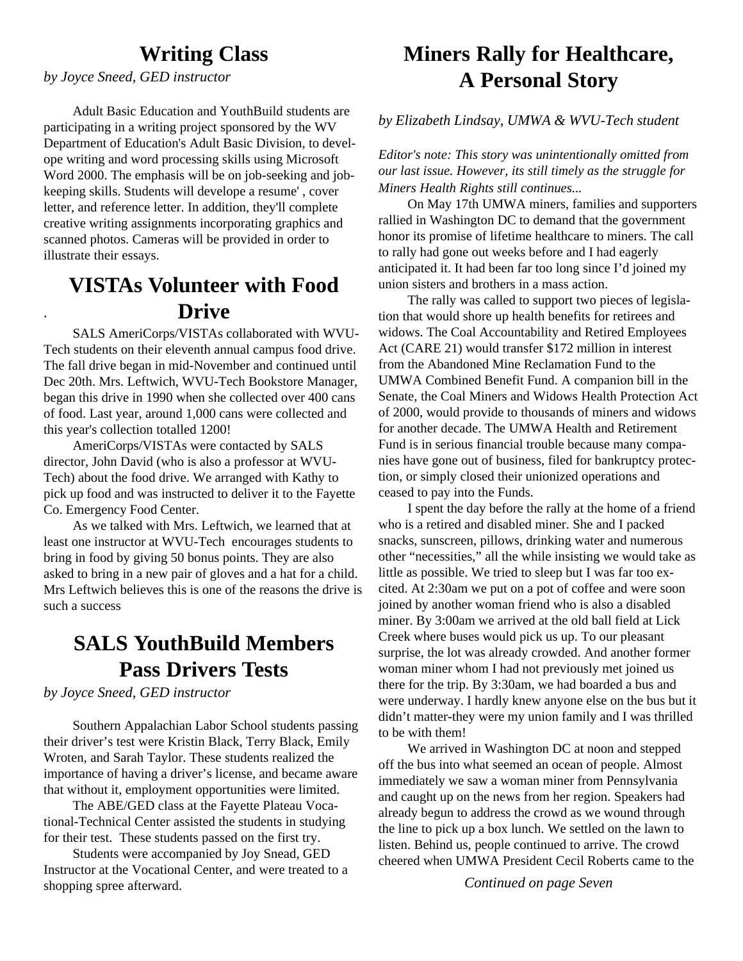### **Writing Class**

*by Joyce Sneed, GED instructor*

.

Adult Basic Education and YouthBuild students are participating in a writing project sponsored by the WV Department of Education's Adult Basic Division, to develope writing and word processing skills using Microsoft Word 2000. The emphasis will be on job-seeking and jobkeeping skills. Students will develope a resume' , cover letter, and reference letter. In addition, they'll complete creative writing assignments incorporating graphics and scanned photos. Cameras will be provided in order to illustrate their essays.

# **VISTAs Volunteer with Food Drive**

SALS AmeriCorps/VISTAs collaborated with WVU-Tech students on their eleventh annual campus food drive. The fall drive began in mid-November and continued until Dec 20th. Mrs. Leftwich, WVU-Tech Bookstore Manager, began this drive in 1990 when she collected over 400 cans of food. Last year, around 1,000 cans were collected and this year's collection totalled 1200!

AmeriCorps/VISTAs were contacted by SALS director, John David (who is also a professor at WVU-Tech) about the food drive. We arranged with Kathy to pick up food and was instructed to deliver it to the Fayette Co. Emergency Food Center.

As we talked with Mrs. Leftwich, we learned that at least one instructor at WVU-Tech encourages students to bring in food by giving 50 bonus points. They are also asked to bring in a new pair of gloves and a hat for a child. Mrs Leftwich believes this is one of the reasons the drive is such a success

### **SALS YouthBuild Members Pass Drivers Tests**

*by Joyce Sneed, GED instructor*

Southern Appalachian Labor School students passing their driver's test were Kristin Black, Terry Black, Emily Wroten, and Sarah Taylor. These students realized the importance of having a driver's license, and became aware that without it, employment opportunities were limited.

The ABE/GED class at the Fayette Plateau Vocational-Technical Center assisted the students in studying for their test. These students passed on the first try.

Students were accompanied by Joy Snead, GED Instructor at the Vocational Center, and were treated to a shopping spree afterward.

# **Miners Rally for Healthcare, A Personal Story**

*by Elizabeth Lindsay, UMWA & WVU-Tech student*

*Editor's note: This story was unintentionally omitted from our last issue. However, its still timely as the struggle for Miners Health Rights still continues...*

On May 17th UMWA miners, families and supporters rallied in Washington DC to demand that the government honor its promise of lifetime healthcare to miners. The call to rally had gone out weeks before and I had eagerly anticipated it. It had been far too long since I'd joined my union sisters and brothers in a mass action.

The rally was called to support two pieces of legislation that would shore up health benefits for retirees and widows. The Coal Accountability and Retired Employees Act (CARE 21) would transfer \$172 million in interest from the Abandoned Mine Reclamation Fund to the UMWA Combined Benefit Fund. A companion bill in the Senate, the Coal Miners and Widows Health Protection Act of 2000, would provide to thousands of miners and widows for another decade. The UMWA Health and Retirement Fund is in serious financial trouble because many companies have gone out of business, filed for bankruptcy protection, or simply closed their unionized operations and ceased to pay into the Funds.

I spent the day before the rally at the home of a friend who is a retired and disabled miner. She and I packed snacks, sunscreen, pillows, drinking water and numerous other "necessities," all the while insisting we would take as little as possible. We tried to sleep but I was far too excited. At 2:30am we put on a pot of coffee and were soon joined by another woman friend who is also a disabled miner. By 3:00am we arrived at the old ball field at Lick Creek where buses would pick us up. To our pleasant surprise, the lot was already crowded. And another former woman miner whom I had not previously met joined us there for the trip. By 3:30am, we had boarded a bus and were underway. I hardly knew anyone else on the bus but it didn't matter-they were my union family and I was thrilled to be with them!

We arrived in Washington DC at noon and stepped off the bus into what seemed an ocean of people. Almost immediately we saw a woman miner from Pennsylvania and caught up on the news from her region. Speakers had already begun to address the crowd as we wound through the line to pick up a box lunch. We settled on the lawn to listen. Behind us, people continued to arrive. The crowd cheered when UMWA President Cecil Roberts came to the

*Continued on page Seven*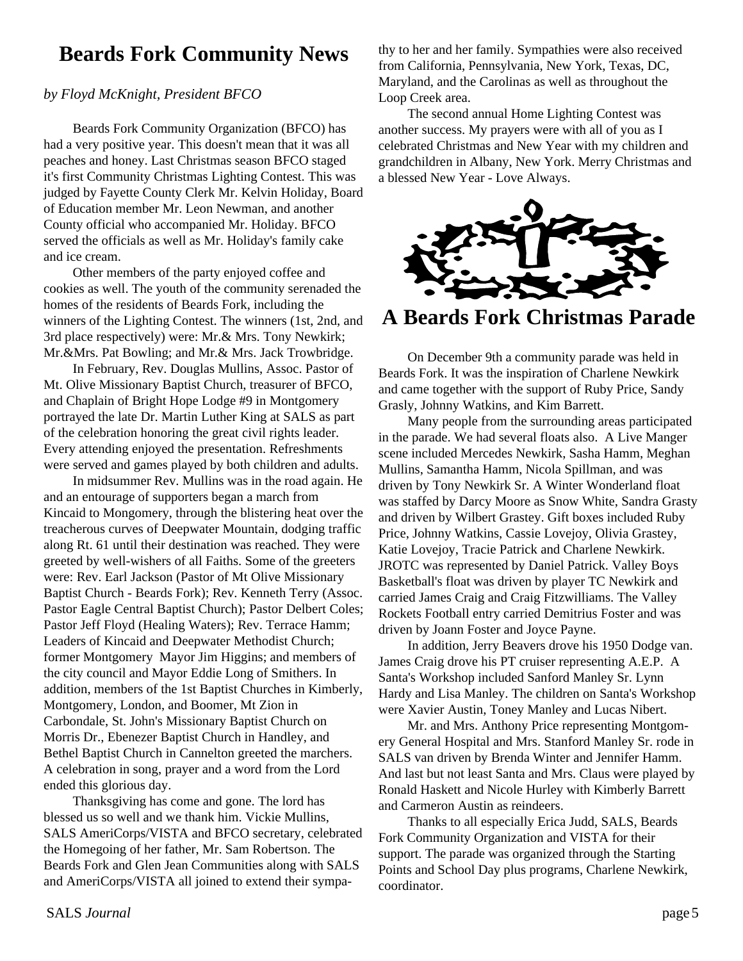## **Beards Fork Community News**

#### *by Floyd McKnight, President BFCO*

Beards Fork Community Organization (BFCO) has had a very positive year. This doesn't mean that it was all peaches and honey. Last Christmas season BFCO staged it's first Community Christmas Lighting Contest. This was judged by Fayette County Clerk Mr. Kelvin Holiday, Board of Education member Mr. Leon Newman, and another County official who accompanied Mr. Holiday. BFCO served the officials as well as Mr. Holiday's family cake and ice cream.

Other members of the party enjoyed coffee and cookies as well. The youth of the community serenaded the homes of the residents of Beards Fork, including the winners of the Lighting Contest. The winners (1st, 2nd, and 3rd place respectively) were: Mr.& Mrs. Tony Newkirk; Mr.&Mrs. Pat Bowling; and Mr.& Mrs. Jack Trowbridge.

In February, Rev. Douglas Mullins, Assoc. Pastor of Mt. Olive Missionary Baptist Church, treasurer of BFCO, and Chaplain of Bright Hope Lodge #9 in Montgomery portrayed the late Dr. Martin Luther King at SALS as part of the celebration honoring the great civil rights leader. Every attending enjoyed the presentation. Refreshments were served and games played by both children and adults.

In midsummer Rev. Mullins was in the road again. He and an entourage of supporters began a march from Kincaid to Mongomery, through the blistering heat over the treacherous curves of Deepwater Mountain, dodging traffic along Rt. 61 until their destination was reached. They were greeted by well-wishers of all Faiths. Some of the greeters were: Rev. Earl Jackson (Pastor of Mt Olive Missionary Baptist Church - Beards Fork); Rev. Kenneth Terry (Assoc. Pastor Eagle Central Baptist Church); Pastor Delbert Coles; Pastor Jeff Floyd (Healing Waters); Rev. Terrace Hamm; Leaders of Kincaid and Deepwater Methodist Church; former Montgomery Mayor Jim Higgins; and members of the city council and Mayor Eddie Long of Smithers. In addition, members of the 1st Baptist Churches in Kimberly, Montgomery, London, and Boomer, Mt Zion in Carbondale, St. John's Missionary Baptist Church on Morris Dr., Ebenezer Baptist Church in Handley, and Bethel Baptist Church in Cannelton greeted the marchers. A celebration in song, prayer and a word from the Lord ended this glorious day.

Thanksgiving has come and gone. The lord has blessed us so well and we thank him. Vickie Mullins, SALS AmeriCorps/VISTA and BFCO secretary, celebrated the Homegoing of her father, Mr. Sam Robertson. The Beards Fork and Glen Jean Communities along with SALS and AmeriCorps/VISTA all joined to extend their sympa-

thy to her and her family. Sympathies were also received from California, Pennsylvania, New York, Texas, DC, Maryland, and the Carolinas as well as throughout the Loop Creek area.

The second annual Home Lighting Contest was another success. My prayers were with all of you as I celebrated Christmas and New Year with my children and grandchildren in Albany, New York. Merry Christmas and a blessed New Year - Love Always.



**A Beards Fork Christmas Parade**

On December 9th a community parade was held in Beards Fork. It was the inspiration of Charlene Newkirk and came together with the support of Ruby Price, Sandy Grasly, Johnny Watkins, and Kim Barrett.

Many people from the surrounding areas participated in the parade. We had several floats also. A Live Manger scene included Mercedes Newkirk, Sasha Hamm, Meghan Mullins, Samantha Hamm, Nicola Spillman, and was driven by Tony Newkirk Sr. A Winter Wonderland float was staffed by Darcy Moore as Snow White, Sandra Grasty and driven by Wilbert Grastey. Gift boxes included Ruby Price, Johnny Watkins, Cassie Lovejoy, Olivia Grastey, Katie Lovejoy, Tracie Patrick and Charlene Newkirk. JROTC was represented by Daniel Patrick. Valley Boys Basketball's float was driven by player TC Newkirk and carried James Craig and Craig Fitzwilliams. The Valley Rockets Football entry carried Demitrius Foster and was driven by Joann Foster and Joyce Payne.

In addition, Jerry Beavers drove his 1950 Dodge van. James Craig drove his PT cruiser representing A.E.P. A Santa's Workshop included Sanford Manley Sr. Lynn Hardy and Lisa Manley. The children on Santa's Workshop were Xavier Austin, Toney Manley and Lucas Nibert.

Mr. and Mrs. Anthony Price representing Montgomery General Hospital and Mrs. Stanford Manley Sr. rode in SALS van driven by Brenda Winter and Jennifer Hamm. And last but not least Santa and Mrs. Claus were played by Ronald Haskett and Nicole Hurley with Kimberly Barrett and Carmeron Austin as reindeers.

Thanks to all especially Erica Judd, SALS, Beards Fork Community Organization and VISTA for their support. The parade was organized through the Starting Points and School Day plus programs, Charlene Newkirk, coordinator.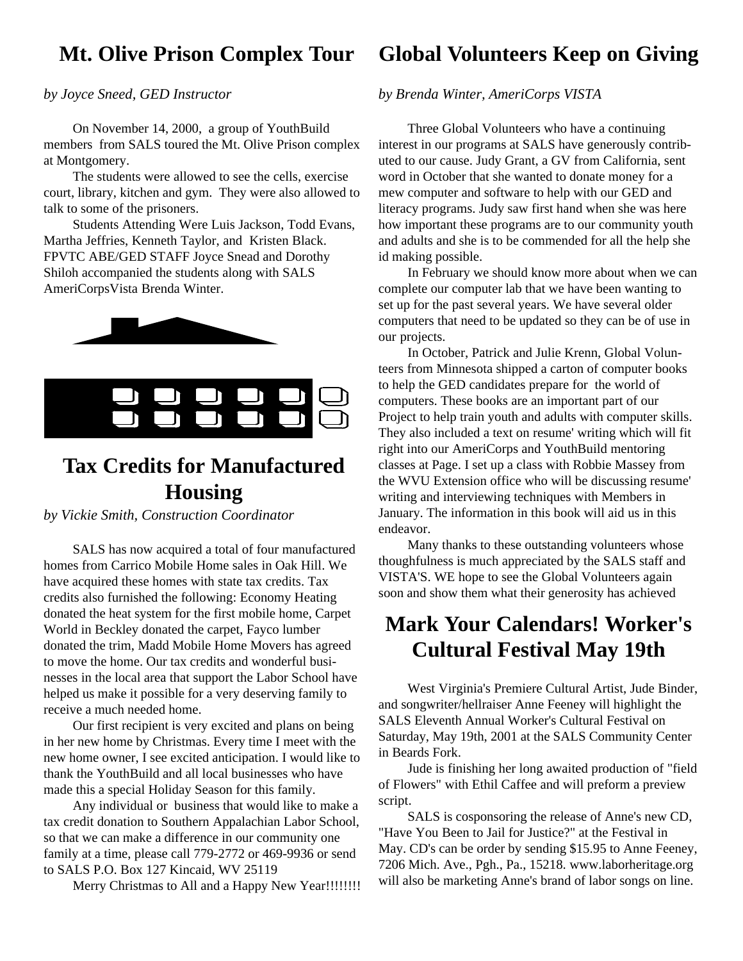### **Mt. Olive Prison Complex Tour**

#### *by Joyce Sneed, GED Instructor*

On November 14, 2000, a group of YouthBuild members from SALS toured the Mt. Olive Prison complex at Montgomery.

The students were allowed to see the cells, exercise court, library, kitchen and gym. They were also allowed to talk to some of the prisoners.

Students Attending Were Luis Jackson, Todd Evans, Martha Jeffries, Kenneth Taylor, and Kristen Black. FPVTC ABE/GED STAFF Joyce Snead and Dorothy Shiloh accompanied the students along with SALS AmeriCorpsVista Brenda Winter.





### **Tax Credits for Manufactured Housing**

*by Vickie Smith, Construction Coordinator*

SALS has now acquired a total of four manufactured homes from Carrico Mobile Home sales in Oak Hill. We have acquired these homes with state tax credits. Tax credits also furnished the following: Economy Heating donated the heat system for the first mobile home, Carpet World in Beckley donated the carpet, Fayco lumber donated the trim, Madd Mobile Home Movers has agreed to move the home. Our tax credits and wonderful businesses in the local area that support the Labor School have helped us make it possible for a very deserving family to receive a much needed home.

Our first recipient is very excited and plans on being in her new home by Christmas. Every time I meet with the new home owner, I see excited anticipation. I would like to thank the YouthBuild and all local businesses who have made this a special Holiday Season for this family.

Any individual or business that would like to make a tax credit donation to Southern Appalachian Labor School, so that we can make a difference in our community one family at a time, please call 779-2772 or 469-9936 or send to SALS P.O. Box 127 Kincaid, WV 25119

Merry Christmas to All and a Happy New Year!!!!!!!!!

### **Global Volunteers Keep on Giving**

#### *by Brenda Winter, AmeriCorps VISTA*

Three Global Volunteers who have a continuing interest in our programs at SALS have generously contributed to our cause. Judy Grant, a GV from California, sent word in October that she wanted to donate money for a mew computer and software to help with our GED and literacy programs. Judy saw first hand when she was here how important these programs are to our community youth and adults and she is to be commended for all the help she id making possible.

In February we should know more about when we can complete our computer lab that we have been wanting to set up for the past several years. We have several older computers that need to be updated so they can be of use in our projects.

In October, Patrick and Julie Krenn, Global Volunteers from Minnesota shipped a carton of computer books to help the GED candidates prepare for the world of computers. These books are an important part of our Project to help train youth and adults with computer skills. They also included a text on resume' writing which will fit right into our AmeriCorps and YouthBuild mentoring classes at Page. I set up a class with Robbie Massey from the WVU Extension office who will be discussing resume' writing and interviewing techniques with Members in January. The information in this book will aid us in this endeavor.

Many thanks to these outstanding volunteers whose thoughfulness is much appreciated by the SALS staff and VISTA'S. WE hope to see the Global Volunteers again soon and show them what their generosity has achieved

## **Mark Your Calendars! Worker's Cultural Festival May 19th**

West Virginia's Premiere Cultural Artist, Jude Binder, and songwriter/hellraiser Anne Feeney will highlight the SALS Eleventh Annual Worker's Cultural Festival on Saturday, May 19th, 2001 at the SALS Community Center in Beards Fork.

Jude is finishing her long awaited production of "field of Flowers" with Ethil Caffee and will preform a preview script.

SALS is cosponsoring the release of Anne's new CD, "Have You Been to Jail for Justice?" at the Festival in May. CD's can be order by sending \$15.95 to Anne Feeney, 7206 Mich. Ave., Pgh., Pa., 15218. www.laborheritage.org will also be marketing Anne's brand of labor songs on line.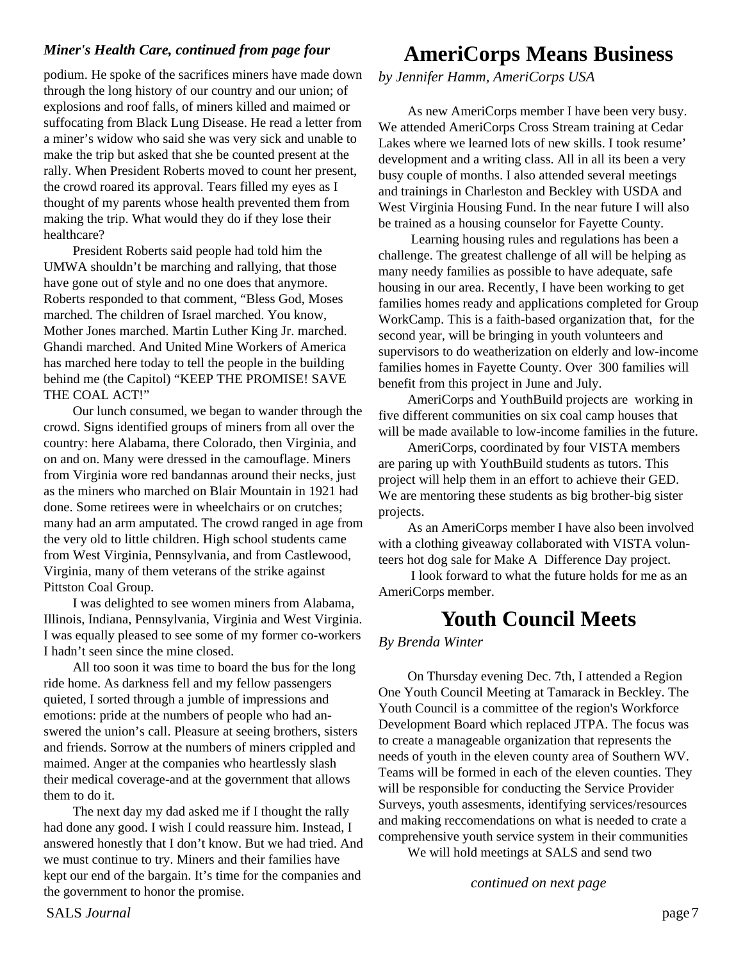#### *Miner's Health Care, continued from page four*

podium. He spoke of the sacrifices miners have made down through the long history of our country and our union; of explosions and roof falls, of miners killed and maimed or suffocating from Black Lung Disease. He read a letter from a miner's widow who said she was very sick and unable to make the trip but asked that she be counted present at the rally. When President Roberts moved to count her present, the crowd roared its approval. Tears filled my eyes as I thought of my parents whose health prevented them from making the trip. What would they do if they lose their healthcare?

President Roberts said people had told him the UMWA shouldn't be marching and rallying, that those have gone out of style and no one does that anymore. Roberts responded to that comment, "Bless God, Moses marched. The children of Israel marched. You know, Mother Jones marched. Martin Luther King Jr. marched. Ghandi marched. And United Mine Workers of America has marched here today to tell the people in the building behind me (the Capitol) "KEEP THE PROMISE! SAVE THE COAL ACT!"

Our lunch consumed, we began to wander through the crowd. Signs identified groups of miners from all over the country: here Alabama, there Colorado, then Virginia, and on and on. Many were dressed in the camouflage. Miners from Virginia wore red bandannas around their necks, just as the miners who marched on Blair Mountain in 1921 had done. Some retirees were in wheelchairs or on crutches; many had an arm amputated. The crowd ranged in age from the very old to little children. High school students came from West Virginia, Pennsylvania, and from Castlewood, Virginia, many of them veterans of the strike against Pittston Coal Group.

I was delighted to see women miners from Alabama, Illinois, Indiana, Pennsylvania, Virginia and West Virginia. I was equally pleased to see some of my former co-workers I hadn't seen since the mine closed.

All too soon it was time to board the bus for the long ride home. As darkness fell and my fellow passengers quieted, I sorted through a jumble of impressions and emotions: pride at the numbers of people who had answered the union's call. Pleasure at seeing brothers, sisters and friends. Sorrow at the numbers of miners crippled and maimed. Anger at the companies who heartlessly slash their medical coverage-and at the government that allows them to do it.

The next day my dad asked me if I thought the rally had done any good. I wish I could reassure him. Instead, I answered honestly that I don't know. But we had tried. And we must continue to try. Miners and their families have kept our end of the bargain. It's time for the companies and the government to honor the promise.

### **AmeriCorps Means Business**

*by Jennifer Hamm, AmeriCorps USA*

As new AmeriCorps member I have been very busy. We attended AmeriCorps Cross Stream training at Cedar Lakes where we learned lots of new skills. I took resume' development and a writing class. All in all its been a very busy couple of months. I also attended several meetings and trainings in Charleston and Beckley with USDA and West Virginia Housing Fund. In the near future I will also be trained as a housing counselor for Fayette County.

 Learning housing rules and regulations has been a challenge. The greatest challenge of all will be helping as many needy families as possible to have adequate, safe housing in our area. Recently, I have been working to get families homes ready and applications completed for Group WorkCamp. This is a faith-based organization that, for the second year, will be bringing in youth volunteers and supervisors to do weatherization on elderly and low-income families homes in Fayette County. Over 300 families will benefit from this project in June and July.

AmeriCorps and YouthBuild projects are working in five different communities on six coal camp houses that will be made available to low-income families in the future.

AmeriCorps, coordinated by four VISTA members are paring up with YouthBuild students as tutors. This project will help them in an effort to achieve their GED. We are mentoring these students as big brother-big sister projects.

As an AmeriCorps member I have also been involved with a clothing giveaway collaborated with VISTA volunteers hot dog sale for Make A Difference Day project.

 I look forward to what the future holds for me as an AmeriCorps member.

### **Youth Council Meets**

*By Brenda Winter*

On Thursday evening Dec. 7th, I attended a Region One Youth Council Meeting at Tamarack in Beckley. The Youth Council is a committee of the region's Workforce Development Board which replaced JTPA. The focus was to create a manageable organization that represents the needs of youth in the eleven county area of Southern WV. Teams will be formed in each of the eleven counties. They will be responsible for conducting the Service Provider Surveys, youth assesments, identifying services/resources and making reccomendations on what is needed to crate a comprehensive youth service system in their communities

We will hold meetings at SALS and send two

*continued on next page*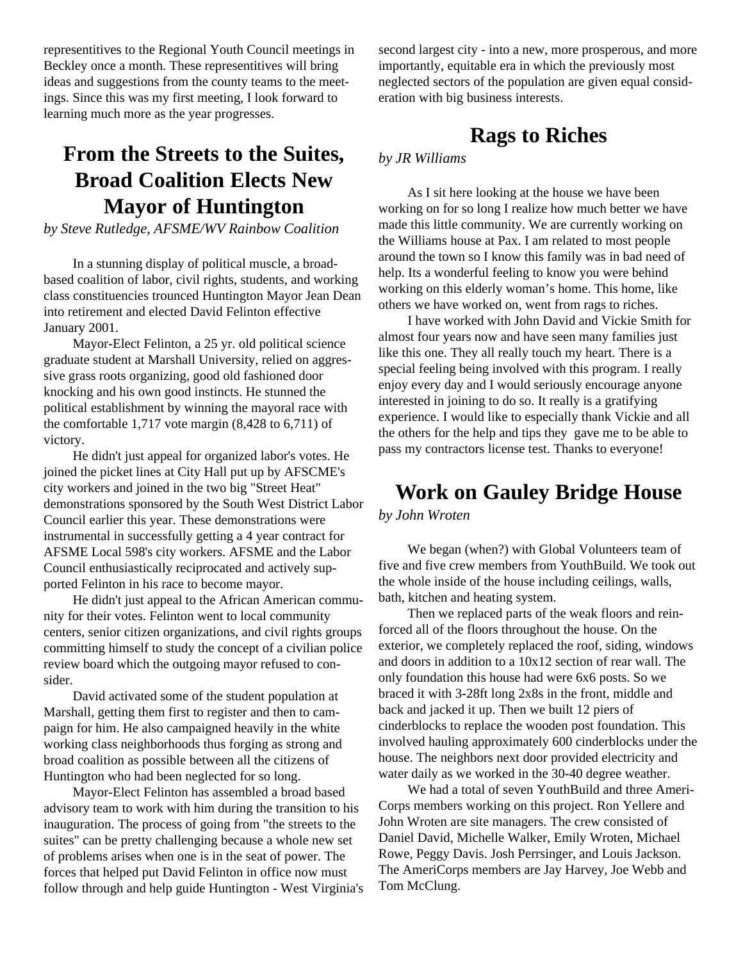representitives to the Regional Youth Council meetings in Beckley once a month. These representitives will bring ideas and suggestions from the county teams to the meetings. Since this was my first meeting, I look forward to learning much more as the year progresses.

## **From the Streets to the Suites, Broad Coalition Elects New Mayor of Huntington**

#### *by Steve Rutledge, AFSME/WV Rainbow Coalition*

In a stunning display of political muscle, a broadbased coalition of labor, civil rights, students, and working class constituencies trounced Huntington Mayor Jean Dean into retirement and elected David Felinton effective January 2001.

Mayor-Elect Felinton, a 25 yr. old political science graduate student at Marshall University, relied on aggressive grass roots organizing, good old fashioned door knocking and his own good instincts. He stunned the political establishment by winning the mayoral race with the comfortable 1,717 vote margin (8,428 to 6,711) of victory.

He didn't just appeal for organized labor's votes. He joined the picket lines at City Hall put up by AFSCME's city workers and joined in the two big "Street Heat" demonstrations sponsored by the South West District Labor Council earlier this year. These demonstrations were instrumental in successfully getting a 4 year contract for AFSME Local 598's city workers. AFSME and the Labor Council enthusiastically reciprocated and actively supported Felinton in his race to become mayor.

He didn't just appeal to the African American community for their votes. Felinton went to local community centers, senior citizen organizations, and civil rights groups committing himself to study the concept of a civilian police review board which the outgoing mayor refused to consider.

David activated some of the student population at Marshall, getting them first to register and then to campaign for him. He also campaigned heavily in the white working class neighborhoods thus forging as strong and broad coalition as possible between all the citizens of Huntington who had been neglected for so long.

Mayor-Elect Felinton has assembled a broad based advisory team to work with him during the transition to his inauguration. The process of going from "the streets to the suites" can be pretty challenging because a whole new set of problems arises when one is in the seat of power. The forces that helped put David Felinton in office now must follow through and help guide Huntington - West Virginia's second largest city - into a new, more prosperous, and more importantly, equitable era in which the previously most neglected sectors of the population are given equal consideration with big business interests.

### **Rags to Riches**

#### *by JR Williams*

As I sit here looking at the house we have been working on for so long I realize how much better we have made this little community. We are currently working on the Williams house at Pax. I am related to most people around the town so I know this family was in bad need of help. Its a wonderful feeling to know you were behind working on this elderly woman's home. This home, like others we have worked on, went from rags to riches.

I have worked with John David and Vickie Smith for almost four years now and have seen many families just like this one. They all really touch my heart. There is a special feeling being involved with this program. I really enjoy every day and I would seriously encourage anyone interested in joining to do so. It really is a gratifying experience. I would like to especially thank Vickie and all the others for the help and tips they gave me to be able to pass my contractors license test. Thanks to everyone!

### **Work on Gauley Bridge House**

*by John Wroten*

We began (when?) with Global Volunteers team of five and five crew members from YouthBuild. We took out the whole inside of the house including ceilings, walls, bath, kitchen and heating system.

Then we replaced parts of the weak floors and reinforced all of the floors throughout the house. On the exterior, we completely replaced the roof, siding, windows and doors in addition to a 10x12 section of rear wall. The only foundation this house had were 6x6 posts. So we braced it with 3-28ft long 2x8s in the front, middle and back and jacked it up. Then we built 12 piers of cinderblocks to replace the wooden post foundation. This involved hauling approximately 600 cinderblocks under the house. The neighbors next door provided electricity and water daily as we worked in the 30-40 degree weather.

We had a total of seven YouthBuild and three Ameri-Corps members working on this project. Ron Yellere and John Wroten are site managers. The crew consisted of Daniel David, Michelle Walker, Emily Wroten, Michael Rowe, Peggy Davis. Josh Perrsinger, and Louis Jackson. The AmeriCorps members are Jay Harvey, Joe Webb and Tom McClung.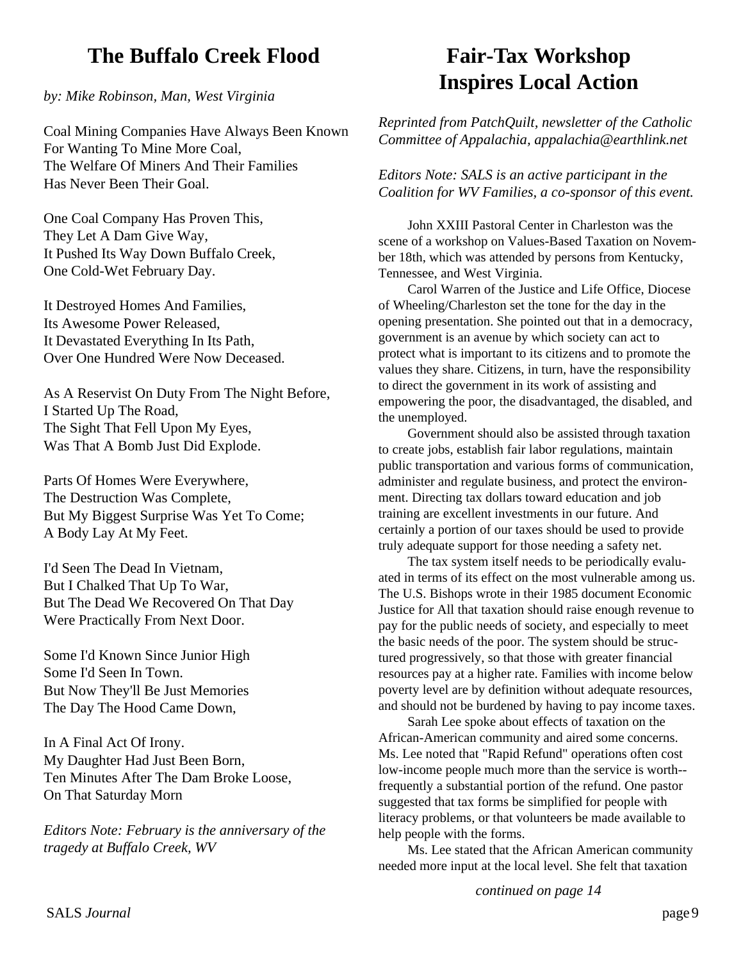### **The Buffalo Creek Flood**

*by: Mike Robinson, Man, West Virginia*

Coal Mining Companies Have Always Been Known For Wanting To Mine More Coal, The Welfare Of Miners And Their Families Has Never Been Their Goal.

One Coal Company Has Proven This, They Let A Dam Give Way, It Pushed Its Way Down Buffalo Creek, One Cold-Wet February Day.

It Destroyed Homes And Families, Its Awesome Power Released, It Devastated Everything In Its Path, Over One Hundred Were Now Deceased.

As A Reservist On Duty From The Night Before, I Started Up The Road, The Sight That Fell Upon My Eyes, Was That A Bomb Just Did Explode.

Parts Of Homes Were Everywhere, The Destruction Was Complete, But My Biggest Surprise Was Yet To Come; A Body Lay At My Feet.

I'd Seen The Dead In Vietnam, But I Chalked That Up To War, But The Dead We Recovered On That Day Were Practically From Next Door.

Some I'd Known Since Junior High Some I'd Seen In Town. But Now They'll Be Just Memories The Day The Hood Came Down,

In A Final Act Of Irony. My Daughter Had Just Been Born, Ten Minutes After The Dam Broke Loose, On That Saturday Morn

*Editors Note: February is the anniversary of the tragedy at Buffalo Creek, WV*

# **Fair-Tax Workshop Inspires Local Action**

*Reprinted from PatchQuilt, newsletter of the Catholic Committee of Appalachia, appalachia@earthlink.net*

*Editors Note: SALS is an active participant in the Coalition for WV Families, a co-sponsor of this event.*

John XXIII Pastoral Center in Charleston was the scene of a workshop on Values-Based Taxation on November 18th, which was attended by persons from Kentucky, Tennessee, and West Virginia.

Carol Warren of the Justice and Life Office, Diocese of Wheeling/Charleston set the tone for the day in the opening presentation. She pointed out that in a democracy, government is an avenue by which society can act to protect what is important to its citizens and to promote the values they share. Citizens, in turn, have the responsibility to direct the government in its work of assisting and empowering the poor, the disadvantaged, the disabled, and the unemployed.

Government should also be assisted through taxation to create jobs, establish fair labor regulations, maintain public transportation and various forms of communication, administer and regulate business, and protect the environment. Directing tax dollars toward education and job training are excellent investments in our future. And certainly a portion of our taxes should be used to provide truly adequate support for those needing a safety net.

The tax system itself needs to be periodically evaluated in terms of its effect on the most vulnerable among us. The U.S. Bishops wrote in their 1985 document Economic Justice for All that taxation should raise enough revenue to pay for the public needs of society, and especially to meet the basic needs of the poor. The system should be structured progressively, so that those with greater financial resources pay at a higher rate. Families with income below poverty level are by definition without adequate resources, and should not be burdened by having to pay income taxes.

Sarah Lee spoke about effects of taxation on the African-American community and aired some concerns. Ms. Lee noted that "Rapid Refund" operations often cost low-income people much more than the service is worth- frequently a substantial portion of the refund. One pastor suggested that tax forms be simplified for people with literacy problems, or that volunteers be made available to help people with the forms.

Ms. Lee stated that the African American community needed more input at the local level. She felt that taxation

*continued on page 14*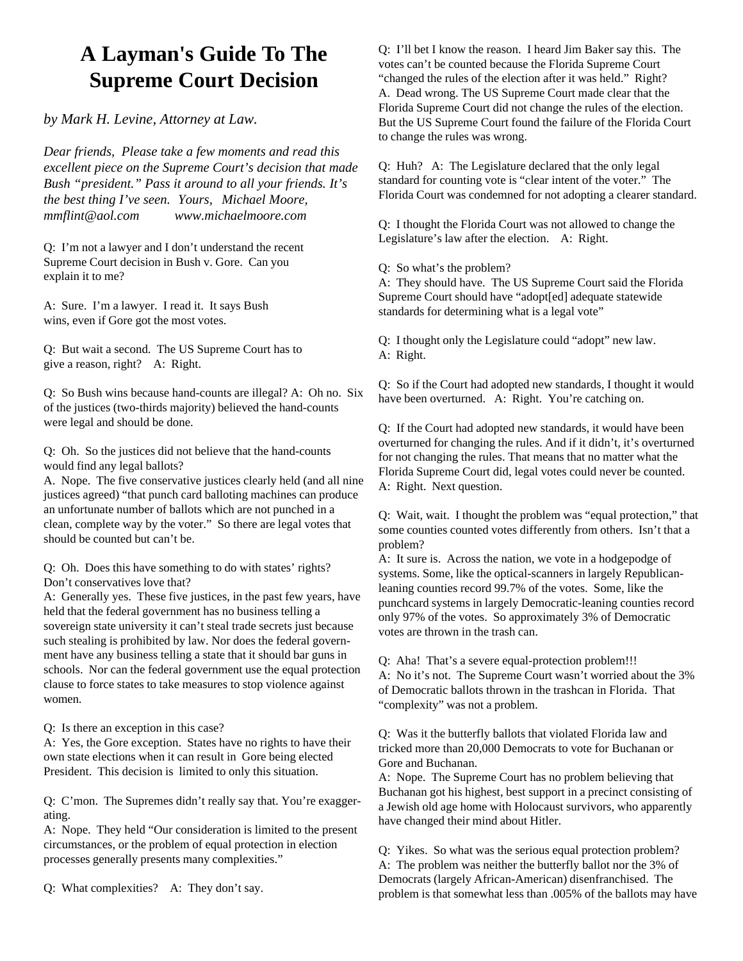# **A Layman's Guide To The Supreme Court Decision**

*by Mark H. Levine, Attorney at Law.*

*Dear friends, Please take a few moments and read this excellent piece on the Supreme Court's decision that made Bush "president." Pass it around to all your friends. It's the best thing I've seen. Yours, Michael Moore, mmflint@aol.com www.michaelmoore.com*

Q: I'm not a lawyer and I don't understand the recent Supreme Court decision in Bush v. Gore. Can you explain it to me?

A: Sure. I'm a lawyer. I read it. It says Bush wins, even if Gore got the most votes.

Q: But wait a second. The US Supreme Court has to give a reason, right? A: Right.

Q: So Bush wins because hand-counts are illegal? A: Oh no. Six of the justices (two-thirds majority) believed the hand-counts were legal and should be done.

Q: Oh. So the justices did not believe that the hand-counts would find any legal ballots?

A. Nope. The five conservative justices clearly held (and all nine justices agreed) "that punch card balloting machines can produce an unfortunate number of ballots which are not punched in a clean, complete way by the voter." So there are legal votes that should be counted but can't be.

Q: Oh. Does this have something to do with states' rights? Don't conservatives love that?

A: Generally yes. These five justices, in the past few years, have held that the federal government has no business telling a sovereign state university it can't steal trade secrets just because such stealing is prohibited by law. Nor does the federal government have any business telling a state that it should bar guns in schools. Nor can the federal government use the equal protection clause to force states to take measures to stop violence against women.

Q: Is there an exception in this case?

A: Yes, the Gore exception. States have no rights to have their own state elections when it can result in Gore being elected President. This decision is limited to only this situation.

Q: C'mon. The Supremes didn't really say that. You're exaggerating.

A: Nope. They held "Our consideration is limited to the present circumstances, or the problem of equal protection in election processes generally presents many complexities."

Q: What complexities? A: They don't say.

Q: I'll bet I know the reason. I heard Jim Baker say this. The votes can't be counted because the Florida Supreme Court "changed the rules of the election after it was held." Right? A. Dead wrong. The US Supreme Court made clear that the Florida Supreme Court did not change the rules of the election. But the US Supreme Court found the failure of the Florida Court to change the rules was wrong.

Q: Huh? A: The Legislature declared that the only legal standard for counting vote is "clear intent of the voter." The Florida Court was condemned for not adopting a clearer standard.

Q: I thought the Florida Court was not allowed to change the Legislature's law after the election. A: Right.

Q: So what's the problem?

A: They should have. The US Supreme Court said the Florida Supreme Court should have "adopt[ed] adequate statewide standards for determining what is a legal vote"

Q: I thought only the Legislature could "adopt" new law. A: Right.

Q: So if the Court had adopted new standards, I thought it would have been overturned. A: Right. You're catching on.

Q: If the Court had adopted new standards, it would have been overturned for changing the rules. And if it didn't, it's overturned for not changing the rules. That means that no matter what the Florida Supreme Court did, legal votes could never be counted. A: Right. Next question.

Q: Wait, wait. I thought the problem was "equal protection," that some counties counted votes differently from others. Isn't that a problem?

A: It sure is. Across the nation, we vote in a hodgepodge of systems. Some, like the optical-scanners in largely Republicanleaning counties record 99.7% of the votes. Some, like the punchcard systems in largely Democratic-leaning counties record only 97% of the votes. So approximately 3% of Democratic votes are thrown in the trash can.

Q: Aha! That's a severe equal-protection problem!!! A: No it's not. The Supreme Court wasn't worried about the 3%

of Democratic ballots thrown in the trashcan in Florida. That "complexity" was not a problem.

Q: Was it the butterfly ballots that violated Florida law and tricked more than 20,000 Democrats to vote for Buchanan or Gore and Buchanan.

A: Nope. The Supreme Court has no problem believing that Buchanan got his highest, best support in a precinct consisting of a Jewish old age home with Holocaust survivors, who apparently have changed their mind about Hitler.

Q: Yikes. So what was the serious equal protection problem? A: The problem was neither the butterfly ballot nor the 3% of Democrats (largely African-American) disenfranchised. The problem is that somewhat less than .005% of the ballots may have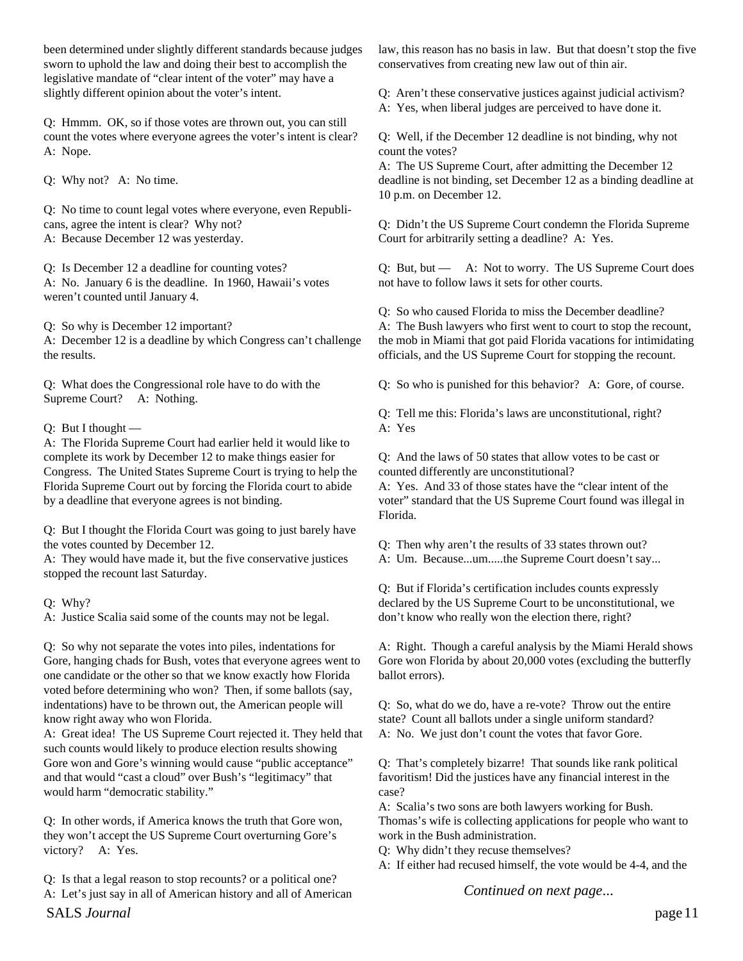been determined under slightly different standards because judges sworn to uphold the law and doing their best to accomplish the legislative mandate of "clear intent of the voter" may have a slightly different opinion about the voter's intent.

Q: Hmmm. OK, so if those votes are thrown out, you can still count the votes where everyone agrees the voter's intent is clear? A: Nope.

Q: Why not? A: No time.

Q: No time to count legal votes where everyone, even Republicans, agree the intent is clear? Why not? A: Because December 12 was yesterday.

Q: Is December 12 a deadline for counting votes? A: No. January 6 is the deadline. In 1960, Hawaii's votes weren't counted until January 4.

Q: So why is December 12 important? A: December 12 is a deadline by which Congress can't challenge the results.

Q: What does the Congressional role have to do with the Supreme Court? A: Nothing.

Q: But I thought —

A: The Florida Supreme Court had earlier held it would like to complete its work by December 12 to make things easier for Congress. The United States Supreme Court is trying to help the Florida Supreme Court out by forcing the Florida court to abide by a deadline that everyone agrees is not binding.

Q: But I thought the Florida Court was going to just barely have the votes counted by December 12.

A: They would have made it, but the five conservative justices stopped the recount last Saturday.

Q: Why?

A: Justice Scalia said some of the counts may not be legal.

Q: So why not separate the votes into piles, indentations for Gore, hanging chads for Bush, votes that everyone agrees went to one candidate or the other so that we know exactly how Florida voted before determining who won? Then, if some ballots (say, indentations) have to be thrown out, the American people will know right away who won Florida.

A: Great idea! The US Supreme Court rejected it. They held that such counts would likely to produce election results showing Gore won and Gore's winning would cause "public acceptance" and that would "cast a cloud" over Bush's "legitimacy" that would harm "democratic stability."

Q: In other words, if America knows the truth that Gore won, they won't accept the US Supreme Court overturning Gore's victory? A: Yes.

Q: Is that a legal reason to stop recounts? or a political one? A: Let's just say in all of American history and all of American law, this reason has no basis in law. But that doesn't stop the five conservatives from creating new law out of thin air.

Q: Aren't these conservative justices against judicial activism? A: Yes, when liberal judges are perceived to have done it.

Q: Well, if the December 12 deadline is not binding, why not count the votes?

A: The US Supreme Court, after admitting the December 12 deadline is not binding, set December 12 as a binding deadline at 10 p.m. on December 12.

Q: Didn't the US Supreme Court condemn the Florida Supreme Court for arbitrarily setting a deadline? A: Yes.

Q: But, but — A: Not to worry. The US Supreme Court does not have to follow laws it sets for other courts.

Q: So who caused Florida to miss the December deadline? A: The Bush lawyers who first went to court to stop the recount, the mob in Miami that got paid Florida vacations for intimidating officials, and the US Supreme Court for stopping the recount.

Q: So who is punished for this behavior? A: Gore, of course.

Q: Tell me this: Florida's laws are unconstitutional, right? A: Yes

Q: And the laws of 50 states that allow votes to be cast or counted differently are unconstitutional?

A: Yes. And 33 of those states have the "clear intent of the voter" standard that the US Supreme Court found was illegal in Florida.

Q: Then why aren't the results of 33 states thrown out?

A: Um. Because...um.....the Supreme Court doesn't say...

Q: But if Florida's certification includes counts expressly declared by the US Supreme Court to be unconstitutional, we don't know who really won the election there, right?

A: Right. Though a careful analysis by the Miami Herald shows Gore won Florida by about 20,000 votes (excluding the butterfly ballot errors).

Q: So, what do we do, have a re-vote? Throw out the entire state? Count all ballots under a single uniform standard? A: No. We just don't count the votes that favor Gore.

Q: That's completely bizarre! That sounds like rank political favoritism! Did the justices have any financial interest in the case?

A: Scalia's two sons are both lawyers working for Bush. Thomas's wife is collecting applications for people who want to work in the Bush administration.

- Q: Why didn't they recuse themselves?
- A: If either had recused himself, the vote would be 4-4, and the

*Continued on next page*...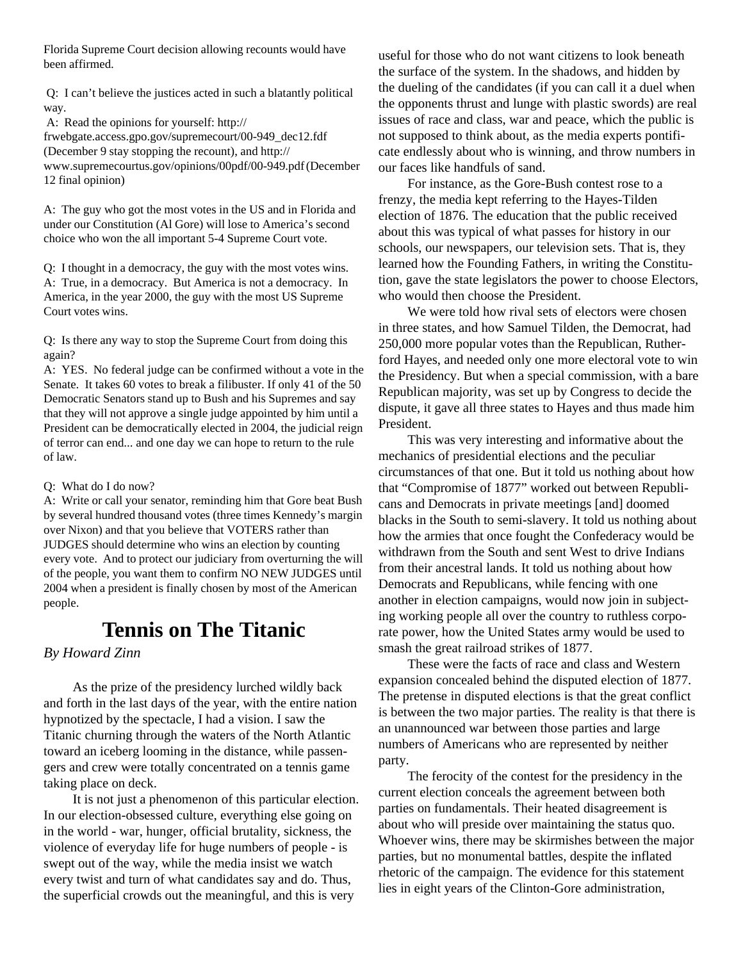Florida Supreme Court decision allowing recounts would have been affirmed.

 Q: I can't believe the justices acted in such a blatantly political way.

A: Read the opinions for yourself: http://

frwebgate.access.gpo.gov/supremecourt/00-949\_dec12.fdf (December 9 stay stopping the recount), and http:// www.supremecourtus.gov/opinions/00pdf/00-949.pdf (December 12 final opinion)

A: The guy who got the most votes in the US and in Florida and under our Constitution (Al Gore) will lose to America's second choice who won the all important 5-4 Supreme Court vote.

Q: I thought in a democracy, the guy with the most votes wins. A: True, in a democracy. But America is not a democracy. In America, in the year 2000, the guy with the most US Supreme Court votes wins.

Q: Is there any way to stop the Supreme Court from doing this again?

A: YES. No federal judge can be confirmed without a vote in the Senate. It takes 60 votes to break a filibuster. If only 41 of the 50 Democratic Senators stand up to Bush and his Supremes and say that they will not approve a single judge appointed by him until a President can be democratically elected in 2004, the judicial reign of terror can end... and one day we can hope to return to the rule of law.

#### Q: What do I do now?

A: Write or call your senator, reminding him that Gore beat Bush by several hundred thousand votes (three times Kennedy's margin over Nixon) and that you believe that VOTERS rather than JUDGES should determine who wins an election by counting every vote. And to protect our judiciary from overturning the will of the people, you want them to confirm NO NEW JUDGES until 2004 when a president is finally chosen by most of the American people.

### **Tennis on The Titanic**

#### *By Howard Zinn*

As the prize of the presidency lurched wildly back and forth in the last days of the year, with the entire nation hypnotized by the spectacle, I had a vision. I saw the Titanic churning through the waters of the North Atlantic toward an iceberg looming in the distance, while passengers and crew were totally concentrated on a tennis game taking place on deck.

It is not just a phenomenon of this particular election. In our election-obsessed culture, everything else going on in the world - war, hunger, official brutality, sickness, the violence of everyday life for huge numbers of people - is swept out of the way, while the media insist we watch every twist and turn of what candidates say and do. Thus, the superficial crowds out the meaningful, and this is very

useful for those who do not want citizens to look beneath the surface of the system. In the shadows, and hidden by the dueling of the candidates (if you can call it a duel when the opponents thrust and lunge with plastic swords) are real issues of race and class, war and peace, which the public is not supposed to think about, as the media experts pontificate endlessly about who is winning, and throw numbers in our faces like handfuls of sand.

For instance, as the Gore-Bush contest rose to a frenzy, the media kept referring to the Hayes-Tilden election of 1876. The education that the public received about this was typical of what passes for history in our schools, our newspapers, our television sets. That is, they learned how the Founding Fathers, in writing the Constitution, gave the state legislators the power to choose Electors, who would then choose the President.

We were told how rival sets of electors were chosen in three states, and how Samuel Tilden, the Democrat, had 250,000 more popular votes than the Republican, Rutherford Hayes, and needed only one more electoral vote to win the Presidency. But when a special commission, with a bare Republican majority, was set up by Congress to decide the dispute, it gave all three states to Hayes and thus made him President.

This was very interesting and informative about the mechanics of presidential elections and the peculiar circumstances of that one. But it told us nothing about how that "Compromise of 1877" worked out between Republicans and Democrats in private meetings [and] doomed blacks in the South to semi-slavery. It told us nothing about how the armies that once fought the Confederacy would be withdrawn from the South and sent West to drive Indians from their ancestral lands. It told us nothing about how Democrats and Republicans, while fencing with one another in election campaigns, would now join in subjecting working people all over the country to ruthless corporate power, how the United States army would be used to smash the great railroad strikes of 1877.

These were the facts of race and class and Western expansion concealed behind the disputed election of 1877. The pretense in disputed elections is that the great conflict is between the two major parties. The reality is that there is an unannounced war between those parties and large numbers of Americans who are represented by neither party.

The ferocity of the contest for the presidency in the current election conceals the agreement between both parties on fundamentals. Their heated disagreement is about who will preside over maintaining the status quo. Whoever wins, there may be skirmishes between the major parties, but no monumental battles, despite the inflated rhetoric of the campaign. The evidence for this statement lies in eight years of the Clinton-Gore administration,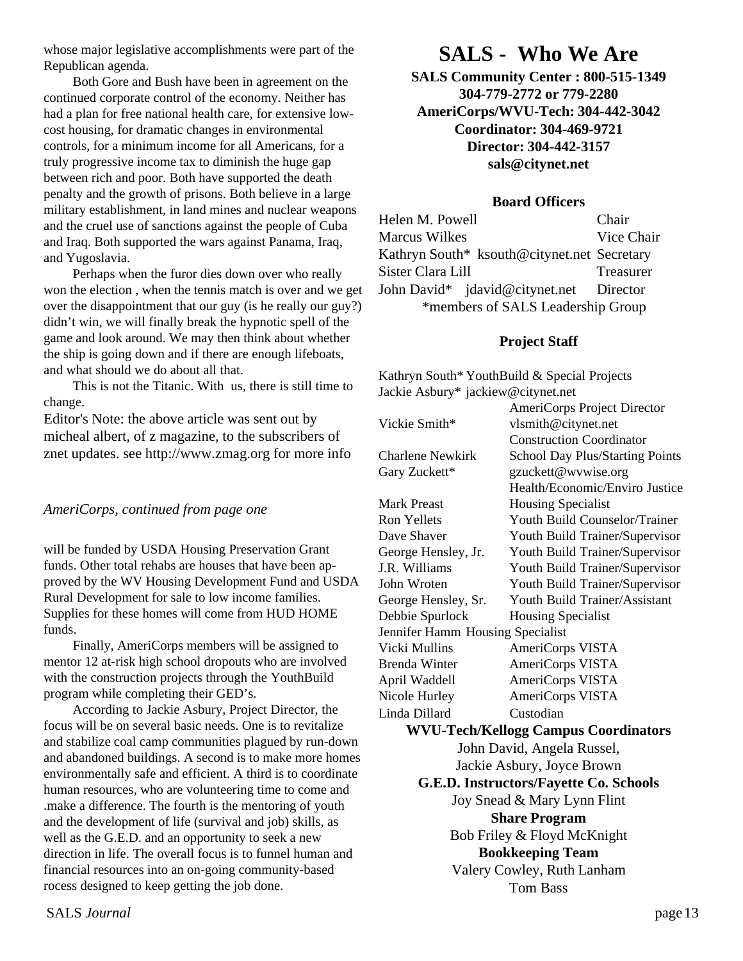whose major legislative accomplishments were part of the Republican agenda.

Both Gore and Bush have been in agreement on the continued corporate control of the economy. Neither has had a plan for free national health care, for extensive lowcost housing, for dramatic changes in environmental controls, for a minimum income for all Americans, for a truly progressive income tax to diminish the huge gap between rich and poor. Both have supported the death penalty and the growth of prisons. Both believe in a large military establishment, in land mines and nuclear weapons and the cruel use of sanctions against the people of Cuba and Iraq. Both supported the wars against Panama, Iraq, and Yugoslavia.

Perhaps when the furor dies down over who really won the election , when the tennis match is over and we get over the disappointment that our guy (is he really our guy?) didn't win, we will finally break the hypnotic spell of the game and look around. We may then think about whether the ship is going down and if there are enough lifeboats, and what should we do about all that.

This is not the Titanic. With us, there is still time to change.

Editor's Note: the above article was sent out by micheal albert, of z magazine, to the subscribers of znet updates. see http://www.zmag.org for more info

*AmeriCorps, continued from page one*

will be funded by USDA Housing Preservation Grant funds. Other total rehabs are houses that have been approved by the WV Housing Development Fund and USDA Rural Development for sale to low income families. Supplies for these homes will come from HUD HOME funds.

Finally, AmeriCorps members will be assigned to mentor 12 at-risk high school dropouts who are involved with the construction projects through the YouthBuild program while completing their GED's.

According to Jackie Asbury, Project Director, the focus will be on several basic needs. One is to revitalize and stabilize coal camp communities plagued by run-down and abandoned buildings. A second is to make more homes environmentally safe and efficient. A third is to coordinate human resources, who are volunteering time to come and .make a difference. The fourth is the mentoring of youth and the development of life (survival and job) skills, as well as the G.E.D. and an opportunity to seek a new direction in life. The overall focus is to funnel human and financial resources into an on-going community-based rocess designed to keep getting the job done.

### **SALS - Who We Are**

**SALS Community Center : 800-515-1349 304-779-2772 or 779-2280 AmeriCorps/WVU-Tech: 304-442-3042 Coordinator: 304-469-9721 Director: 304-442-3157 sals@citynet.net**

#### **Board Officers**

Helen M. Powell Chair Marcus Wilkes Vice Chair Kathryn South\* ksouth@citynet.net Secretary Sister Clara Lill Treasurer John David\* jdavid@citynet.net Director \*members of SALS Leadership Group

#### **Project Staff**

Kathryn South\* YouthBuild & Special Projects Jackie Asbury\* jackiew@citynet.net

|                                  | AmeriCorps Project Director                   |
|----------------------------------|-----------------------------------------------|
| Vickie Smith*                    | vlsmith@citynet.net                           |
|                                  | <b>Construction Coordinator</b>               |
| <b>Charlene Newkirk</b>          | School Day Plus/Starting Points               |
| Gary Zuckett*                    | gzuckett@wvwise.org                           |
|                                  | Health/Economic/Enviro Justice                |
| <b>Mark Preast</b>               | <b>Housing Specialist</b>                     |
| Ron Yellets                      | Youth Build Counselor/Trainer                 |
| Dave Shaver                      | Youth Build Trainer/Supervisor                |
| George Hensley, Jr.              | Youth Build Trainer/Supervisor                |
| J.R. Williams                    | Youth Build Trainer/Supervisor                |
| John Wroten                      | Youth Build Trainer/Supervisor                |
| George Hensley, Sr.              | <b>Youth Build Trainer/Assistant</b>          |
| Debbie Spurlock                  | <b>Housing Specialist</b>                     |
| Jennifer Hamm Housing Specialist |                                               |
| <b>Vicki Mullins</b>             | AmeriCorps VISTA                              |
| <b>Brenda Winter</b>             | AmeriCorps VISTA                              |
| April Waddell                    | AmeriCorps VISTA                              |
| Nicole Hurley                    | AmeriCorps VISTA                              |
| Linda Dillard                    | Custodian                                     |
|                                  | <b>WVU-Tech/Kellogg Campus Coordinators</b>   |
|                                  | John David, Angela Russel,                    |
|                                  | Jackie Asbury, Joyce Brown                    |
|                                  | <b>G.E.D. Instructors/Fayette Co. Schools</b> |
|                                  | Joy Snead & Mary Lynn Flint                   |
|                                  | <b>Share Program</b>                          |
|                                  | Bob Friley & Floyd McKnight                   |
|                                  | <b>Bookkeeping Team</b>                       |
|                                  | Valery Cowley, Ruth Lanham                    |
|                                  | <b>Tom Bass</b>                               |

SALS *Journal* page 13